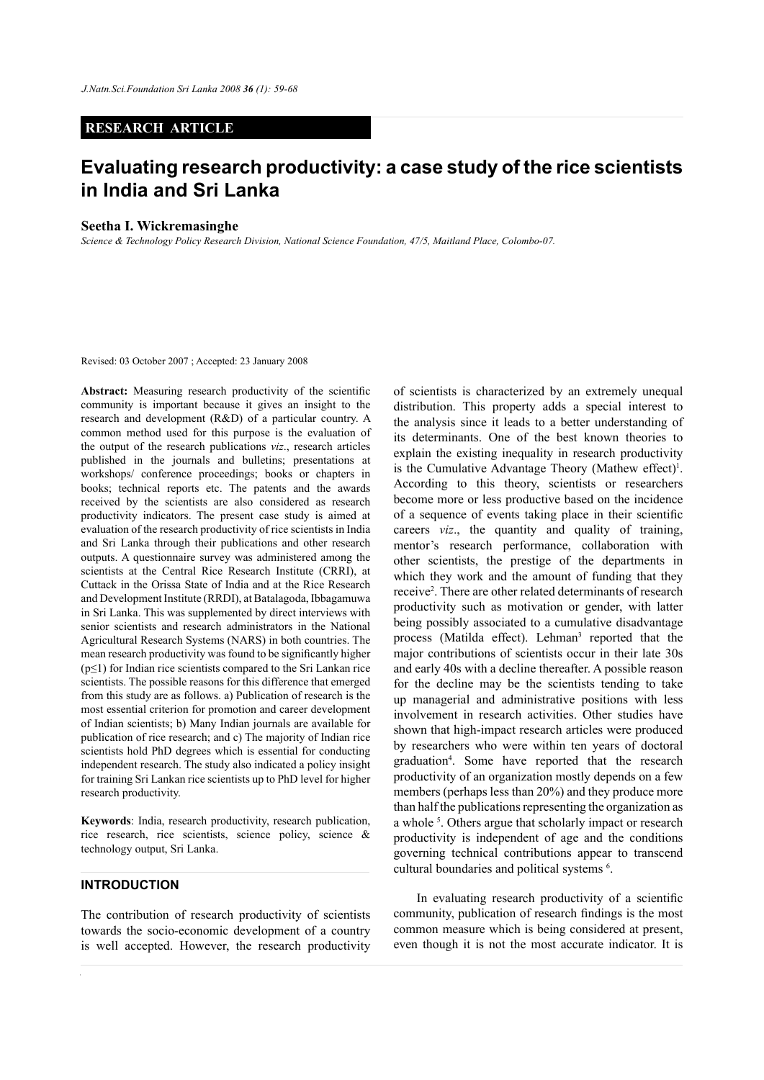# **RESEARCH ARTICLE**

# **Evaluating research productivity: a case study of the rice scientists in India and Sri Lanka**

#### **Seetha I. Wickremasinghe**

*Science & Technology Policy Research Division, National Science Foundation, 47/5, Maitland Place, Colombo-07.*

Revised: 03 October 2007 ; Accepted: 23 January 2008

**Abstract:** Measuring research productivity of the scientific community is important because it gives an insight to the research and development (R&D) of a particular country. A common method used for this purpose is the evaluation of the output of the research publications *viz*., research articles published in the journals and bulletins; presentations at workshops/ conference proceedings; books or chapters in books; technical reports etc. The patents and the awards received by the scientists are also considered as research productivity indicators. The present case study is aimed at evaluation of the research productivity of rice scientists in India and Sri Lanka through their publications and other research outputs. A questionnaire survey was administered among the scientists at the Central Rice Research Institute (CRRI), at Cuttack in the Orissa State of India and at the Rice Research and Development Institute (RRDI), at Batalagoda, Ibbagamuwa in Sri Lanka. This was supplemented by direct interviews with senior scientists and research administrators in the National Agricultural Research Systems (NARS) in both countries. The mean research productivity was found to be significantly higher  $(p \le 1)$  for Indian rice scientists compared to the Sri Lankan rice scientists. The possible reasons for this difference that emerged from this study are as follows. a) Publication of research is the most essential criterion for promotion and career development of Indian scientists; b) Many Indian journals are available for publication of rice research; and c) The majority of Indian rice scientists hold PhD degrees which is essential for conducting independent research. The study also indicated a policy insight for training Sri Lankan rice scientists up to PhD level for higher research productivity.

**Keywords**: India, research productivity, research publication, rice research, rice scientists, science policy, science & technology output, Sri Lanka.

# **INTRODUCTION**

The contribution of research productivity of scientists towards the socio-economic development of a country is well accepted. However, the research productivity

of scientists is characterized by an extremely unequal distribution. This property adds a special interest to the analysis since it leads to a better understanding of its determinants. One of the best known theories to explain the existing inequality in research productivity is the Cumulative Advantage Theory (Mathew effect)<sup>1</sup>. According to this theory, scientists or researchers become more or less productive based on the incidence of a sequence of events taking place in their scientific careers *viz*., the quantity and quality of training, mentor's research performance, collaboration with other scientists, the prestige of the departments in which they work and the amount of funding that they receive<sup>2</sup>. There are other related determinants of research productivity such as motivation or gender, with latter being possibly associated to a cumulative disadvantage process (Matilda effect). Lehman<sup>3</sup> reported that the major contributions of scientists occur in their late 30s and early 40s with a decline thereafter. A possible reason for the decline may be the scientists tending to take up managerial and administrative positions with less involvement in research activities. Other studies have shown that high-impact research articles were produced by researchers who were within ten years of doctoral graduation4 . Some have reported that the research productivity of an organization mostly depends on a few members (perhaps less than 20%) and they produce more than half the publications representing the organization as a whole<sup>5</sup>. Others argue that scholarly impact or research productivity is independent of age and the conditions governing technical contributions appear to transcend cultural boundaries and political systems 6 .

In evaluating research productivity of a scientific community, publication of research findings is the most common measure which is being considered at present, even though it is not the most accurate indicator. It is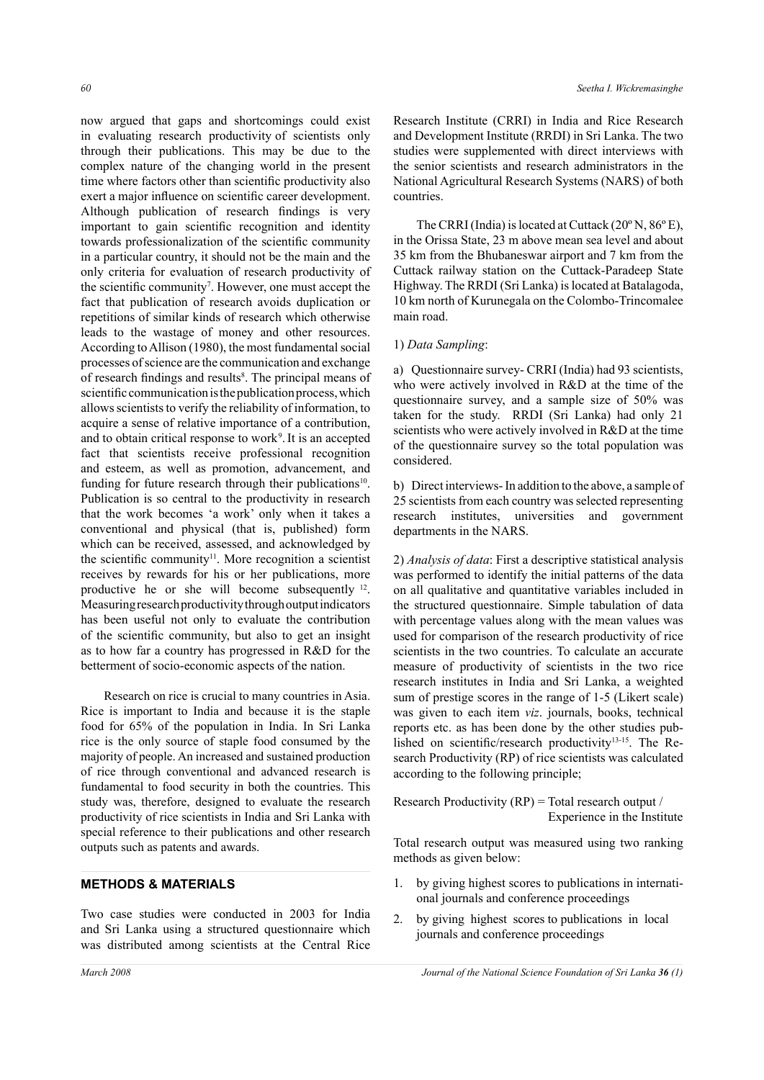now argued that gaps and shortcomings could exist in evaluating research productivity of scientists only through their publications. This may be due to the complex nature of the changing world in the present time where factors other than scientific productivity also exert a major influence on scientific career development. Although publication of research findings is very important to gain scientific recognition and identity towards professionalization of the scientific community in a particular country, it should not be the main and the only criteria for evaluation of research productivity of the scientific community<sup>7</sup>. However, one must accept the fact that publication of research avoids duplication or repetitions of similar kinds of research which otherwise leads to the wastage of money and other resources. According to Allison (1980), the most fundamental social processes of science are the communication and exchange of research findings and results<sup>8</sup>. The principal means of scientific communication is the publication process, which allows scientists to verify the reliability of information, to acquire a sense of relative importance of a contribution, and to obtain critical response to work<sup>9</sup>. It is an accepted fact that scientists receive professional recognition and esteem, as well as promotion, advancement, and funding for future research through their publications<sup>10</sup>. Publication is so central to the productivity in research that the work becomes 'a work' only when it takes a conventional and physical (that is, published) form which can be received, assessed, and acknowledged by the scientific community<sup>11</sup>. More recognition a scientist receives by rewards for his or her publications, more productive he or she will become subsequently 12. Measuring research productivity through output indicators has been useful not only to evaluate the contribution of the scientific community, but also to get an insight as to how far a country has progressed in R&D for the betterment of socio-economic aspects of the nation.

Research on rice is crucial to many countries in Asia. Rice is important to India and because it is the staple food for 65% of the population in India. In Sri Lanka rice is the only source of staple food consumed by the majority of people. An increased and sustained production of rice through conventional and advanced research is fundamental to food security in both the countries. This study was, therefore, designed to evaluate the research productivity of rice scientists in India and Sri Lanka with special reference to their publications and other research outputs such as patents and awards.

# **METHODS & MATERIALS**

Two case studies were conducted in 2003 for India and Sri Lanka using a structured questionnaire which was distributed among scientists at the Central Rice

Research Institute (CRRI) in India and Rice Research and Development Institute (RRDI) in Sri Lanka. The two studies were supplemented with direct interviews with the senior scientists and research administrators in the National Agricultural Research Systems (NARS) of both countries.

The CRRI (India) is located at Cuttack  $(20^{\circ} N, 86^{\circ} E)$ , in the Orissa State, 23 m above mean sea level and about 35 km from the Bhubaneswar airport and 7 km from the Cuttack railway station on the Cuttack-Paradeep State Highway. The RRDI (Sri Lanka) is located at Batalagoda, 10 km north of Kurunegala on the Colombo-Trincomalee main road.

# 1) *Data Sampling*:

a) Questionnaire survey- CRRI (India) had 93 scientists, who were actively involved in R&D at the time of the questionnaire survey, and a sample size of 50% was taken for the study. RRDI (Sri Lanka) had only 21 scientists who were actively involved in R&D at the time of the questionnaire survey so the total population was considered.

b) Direct interviews- In addition to the above, a sample of 25 scientists from each country was selected representing research institutes, universities and government departments in the NARS.

2) *Analysis of data*: First a descriptive statistical analysis was performed to identify the initial patterns of the data on all qualitative and quantitative variables included in the structured questionnaire. Simple tabulation of data with percentage values along with the mean values was used for comparison of the research productivity of rice scientists in the two countries. To calculate an accurate measure of productivity of scientists in the two rice research institutes in India and Sri Lanka, a weighted sum of prestige scores in the range of 1-5 (Likert scale) was given to each item *viz*. journals, books, technical reports etc. as has been done by the other studies published on scientific/research productivity13-15. The Research Productivity (RP) of rice scientists was calculated according to the following principle;

Research Productivity (RP) = Total research output / Experience in the Institute

Total research output was measured using two ranking methods as given below:

- 1. by giving highest scores to publications in international journals and conference proceedings
- 2. by giving highest scores to publications in local journals and conference proceedings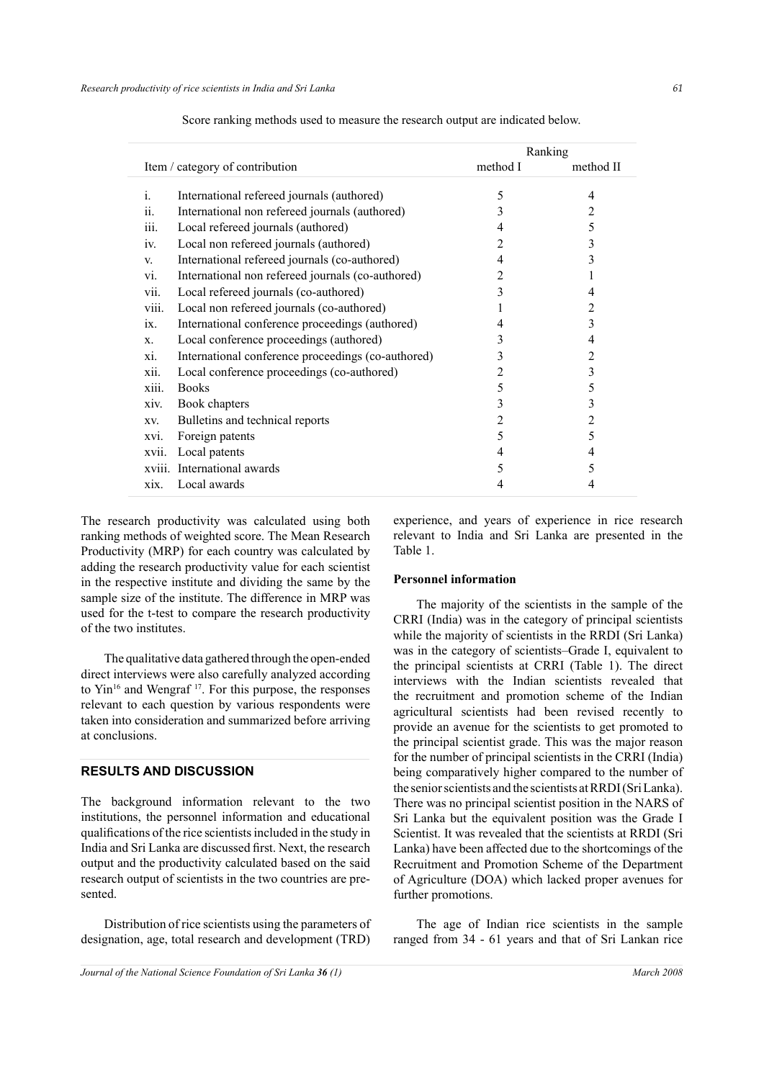|                   |                                                    |                | Ranking   |
|-------------------|----------------------------------------------------|----------------|-----------|
|                   | Item / category of contribution                    | method I       | method II |
|                   |                                                    |                |           |
| $\mathbf{1}$ .    | International refereed journals (authored)         | 5              | 4         |
| 11.               | International non refereed journals (authored)     | 3              | 2         |
| 111.              | Local refereed journals (authored)                 | 4              | 5         |
| 1V.               | Local non refereed journals (authored)             | 2              | 3         |
| V.                | International refereed journals (co-authored)      | 4              | 3         |
| vi.               | International non refereed journals (co-authored)  | 2              |           |
| vii.              | Local refereed journals (co-authored)              | 3              | 4         |
| viii.             | Local non refereed journals (co-authored)          |                | 2         |
| $\overline{1}X$ . | International conference proceedings (authored)    | 4              | 3         |
| X.                | Local conference proceedings (authored)            | 3              | 4         |
| xi.               | International conference proceedings (co-authored) | 3              | 2         |
| xii.              | Local conference proceedings (co-authored)         | 2              | 3         |
| xiii.             | <b>Books</b>                                       | 5              | 5         |
| xiv.              | Book chapters                                      | 3              | 3         |
| XV.               | Bulletins and technical reports                    | 2              | 2         |
| XV1.              | Foreign patents                                    | 5              | 5         |
| xvii.             | Local patents                                      | $\overline{4}$ | 4         |
| xviii.            | International awards                               | 5              | 5         |
| xix.              | Local awards                                       | 4              | 4         |
|                   |                                                    |                |           |

Score ranking methods used to measure the research output are indicated below.

The research productivity was calculated using both ranking methods of weighted score. The Mean Research Productivity (MRP) for each country was calculated by adding the research productivity value for each scientist in the respective institute and dividing the same by the sample size of the institute. The difference in MRP was used for the t-test to compare the research productivity of the two institutes.

The qualitative data gathered through the open-ended direct interviews were also carefully analyzed according to  $\text{Yin}^{16}$  and Wengraf  $^{17}$ . For this purpose, the responses relevant to each question by various respondents were taken into consideration and summarized before arriving at conclusions.

# **RESULTS AND DISCUSSION**

The background information relevant to the two institutions, the personnel information and educational qualifications of the rice scientists included in the study in India and Sri Lanka are discussed first. Next, the research output and the productivity calculated based on the said research output of scientists in the two countries are presented.

Distribution of rice scientists using the parameters of designation, age, total research and development (TRD) experience, and years of experience in rice research relevant to India and Sri Lanka are presented in the Table 1.

#### **Personnel information**

The majority of the scientists in the sample of the CRRI (India) was in the category of principal scientists while the majority of scientists in the RRDI (Sri Lanka) was in the category of scientists–Grade I, equivalent to the principal scientists at CRRI (Table 1). The direct interviews with the Indian scientists revealed that the recruitment and promotion scheme of the Indian agricultural scientists had been revised recently to provide an avenue for the scientists to get promoted to the principal scientist grade. This was the major reason for the number of principal scientists in the CRRI (India) being comparatively higher compared to the number of the senior scientists and the scientists at RRDI (Sri Lanka). There was no principal scientist position in the NARS of Sri Lanka but the equivalent position was the Grade I Scientist. It was revealed that the scientists at RRDI (Sri Lanka) have been affected due to the shortcomings of the Recruitment and Promotion Scheme of the Department of Agriculture (DOA) which lacked proper avenues for further promotions.

The age of Indian rice scientists in the sample ranged from 34 - 61 years and that of Sri Lankan rice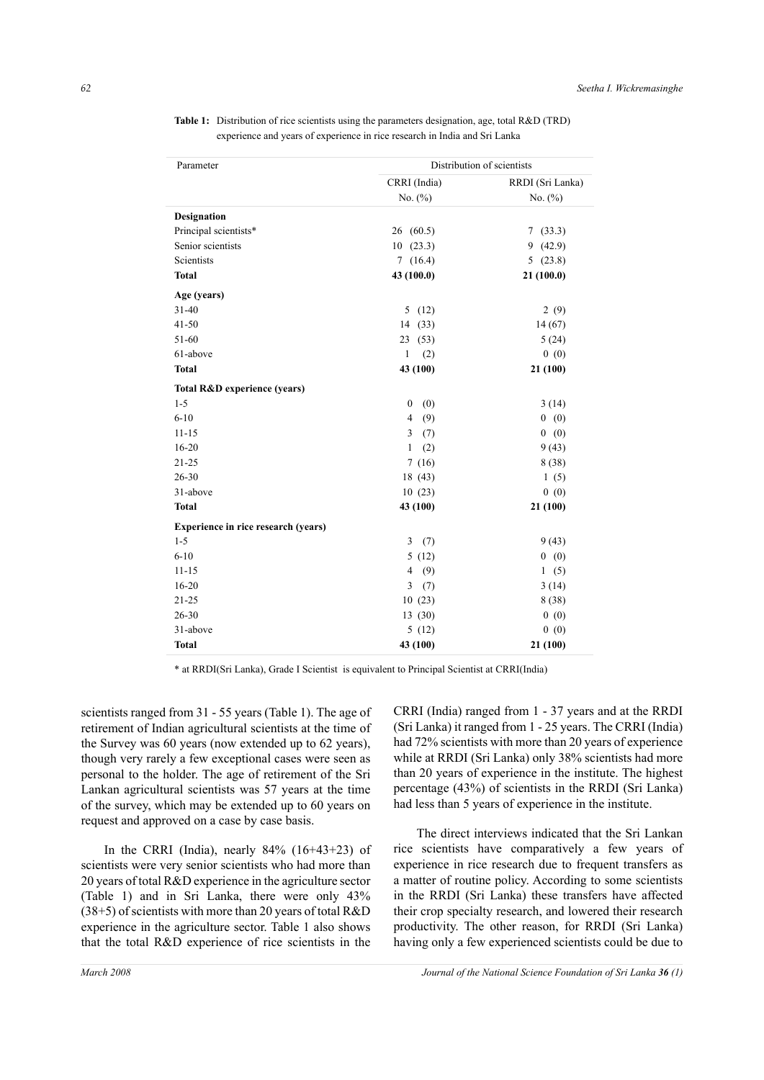**Table 1:** Distribution of rice scientists using the parameters designation, age, total R&D (TRD) experience and years of experience in rice research in India and Sri Lanka

| Parameter    |                                     | Distribution of scientists |                  |  |  |  |
|--------------|-------------------------------------|----------------------------|------------------|--|--|--|
|              |                                     | CRRI (India)               | RRDI (Sri Lanka) |  |  |  |
|              |                                     | No. (%)                    | No. $(\%)$       |  |  |  |
| Designation  |                                     |                            |                  |  |  |  |
|              | Principal scientists*               | 26(60.5)                   | 7(33.3)          |  |  |  |
|              | Senior scientists                   | 10(23.3)                   | 9(42.9)          |  |  |  |
| Scientists   |                                     | 7(16.4)                    | 5(23.8)          |  |  |  |
| <b>Total</b> |                                     | 43 (100.0)                 | 21(100.0)        |  |  |  |
| Age (years)  |                                     |                            |                  |  |  |  |
| $31 - 40$    |                                     | 5(12)                      | 2(9)             |  |  |  |
| $41 - 50$    |                                     | 14 (33)                    | 14(67)           |  |  |  |
| 51-60        |                                     | 23(53)                     | 5(24)            |  |  |  |
| 61-above     |                                     | (2)<br>1                   | 0(0)             |  |  |  |
| <b>Total</b> |                                     | 43 (100)                   | 21 (100)         |  |  |  |
|              | Total R&D experience (years)        |                            |                  |  |  |  |
| $1 - 5$      |                                     | $\boldsymbol{0}$<br>(0)    | 3(14)            |  |  |  |
| $6 - 10$     |                                     | $\overline{4}$<br>(9)      | 0(0)             |  |  |  |
| $11 - 15$    |                                     | 3<br>(7)                   | 0(0)             |  |  |  |
| $16 - 20$    |                                     | (2)<br>1                   | 9(43)            |  |  |  |
| $21 - 25$    |                                     | 7(16)                      | 8(38)            |  |  |  |
| 26-30        |                                     | 18 (43)                    | 1(5)             |  |  |  |
| 31-above     |                                     | 10(23)                     | 0(0)             |  |  |  |
| <b>Total</b> |                                     | 43 (100)                   | 21 (100)         |  |  |  |
|              | Experience in rice research (years) |                            |                  |  |  |  |
| $1 - 5$      |                                     | 3<br>(7)                   | 9(43)            |  |  |  |
| $6 - 10$     |                                     | 5(12)                      | 0(0)             |  |  |  |
| $11 - 15$    |                                     | $\overline{4}$<br>(9)      | 1(5)             |  |  |  |
| $16 - 20$    |                                     | 3<br>(7)                   | 3(14)            |  |  |  |
| $21 - 25$    |                                     | 10(23)                     | 8(38)            |  |  |  |
| 26-30        |                                     | 13 (30)                    | 0(0)             |  |  |  |
| 31-above     |                                     | 5(12)                      | 0(0)             |  |  |  |
| <b>Total</b> |                                     | 43 (100)                   | 21 (100)         |  |  |  |

\* at RRDI(Sri Lanka), Grade I Scientist is equivalent to Principal Scientist at CRRI(India)

scientists ranged from 31 - 55 years (Table 1). The age of retirement of Indian agricultural scientists at the time of the Survey was 60 years (now extended up to 62 years), though very rarely a few exceptional cases were seen as personal to the holder. The age of retirement of the Sri Lankan agricultural scientists was 57 years at the time of the survey, which may be extended up to 60 years on request and approved on a case by case basis.

In the CRRI (India), nearly  $84\%$  (16+43+23) of scientists were very senior scientists who had more than 20 years of total R&D experience in the agriculture sector (Table 1) and in Sri Lanka, there were only 43% (38+5) of scientists with more than 20 years of total R&D experience in the agriculture sector. Table 1 also shows that the total R&D experience of rice scientists in the

CRRI (India) ranged from 1 - 37 years and at the RRDI (Sri Lanka) it ranged from 1 - 25 years. The CRRI (India) had 72% scientists with more than 20 years of experience while at RRDI (Sri Lanka) only 38% scientists had more than 20 years of experience in the institute. The highest percentage (43%) of scientists in the RRDI (Sri Lanka) had less than 5 years of experience in the institute.

The direct interviews indicated that the Sri Lankan rice scientists have comparatively a few years of experience in rice research due to frequent transfers as a matter of routine policy. According to some scientists in the RRDI (Sri Lanka) these transfers have affected their crop specialty research, and lowered their research productivity. The other reason, for RRDI (Sri Lanka) having only a few experienced scientists could be due to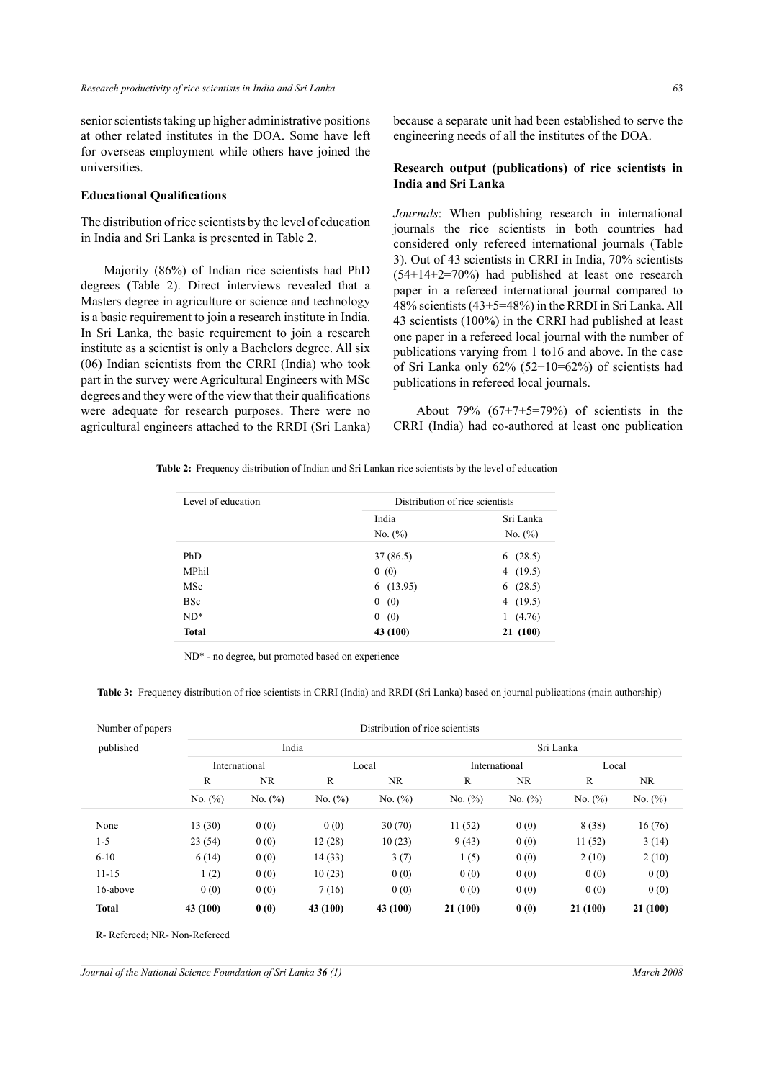senior scientists taking up higher administrative positions at other related institutes in the DOA. Some have left for overseas employment while others have joined the universities.

### **Educational Qualifications**

The distribution of rice scientists by the level of education in India and Sri Lanka is presented in Table 2.

Majority (86%) of Indian rice scientists had PhD degrees (Table 2). Direct interviews revealed that a Masters degree in agriculture or science and technology is a basic requirement to join a research institute in India. In Sri Lanka, the basic requirement to join a research institute as a scientist is only a Bachelors degree. All six (06) Indian scientists from the CRRI (India) who took part in the survey were Agricultural Engineers with MSc degrees and they were of the view that their qualifications were adequate for research purposes. There were no agricultural engineers attached to the RRDI (Sri Lanka) because a separate unit had been established to serve the engineering needs of all the institutes of the DOA.

# **Research output (publications) of rice scientists in India and Sri Lanka**

*Journals*: When publishing research in international journals the rice scientists in both countries had considered only refereed international journals (Table 3). Out of 43 scientists in CRRI in India, 70% scientists  $(54+14+2=70%)$  had published at least one research paper in a refereed international journal compared to 48% scientists (43+5=48%) in the RRDI in Sri Lanka. All 43 scientists (100%) in the CRRI had published at least one paper in a refereed local journal with the number of publications varying from 1 to16 and above. In the case of Sri Lanka only 62% (52+10=62%) of scientists had publications in refereed local journals.

About 79% (67+7+5=79%) of scientists in the CRRI (India) had co-authored at least one publication

|  |  | <b>Table 2:</b> Frequency distribution of Indian and Sri Lankan rice scientists by the level of education |  |  |  |  |  |  |  |  |  |
|--|--|-----------------------------------------------------------------------------------------------------------|--|--|--|--|--|--|--|--|--|
|--|--|-----------------------------------------------------------------------------------------------------------|--|--|--|--|--|--|--|--|--|

| Level of education | Distribution of rice scientists |             |
|--------------------|---------------------------------|-------------|
|                    | India                           | Sri Lanka   |
|                    | No. $(\% )$                     | No. $(\% )$ |
| PhD.               | 37 (86.5)                       | (28.5)<br>6 |
| MPhil              | 0(0)                            | (19.5)<br>4 |
| MSc                | 6(13.95)                        | (28.5)<br>6 |
| <b>BSc</b>         | 0(0)                            | (19.5)<br>4 |
| $ND^*$             | 0(0)                            | (4.76)<br>1 |
| <b>Total</b>       | 43 (100)                        | 21 (100)    |

ND\* - no degree, but promoted based on experience

Table 3: Frequency distribution of rice scientists in CRRI (India) and RRDI (Sri Lanka) based on journal publications (main authorship)

| Number of papers |             | Distribution of rice scientists |             |            |             |               |            |             |  |
|------------------|-------------|---------------------------------|-------------|------------|-------------|---------------|------------|-------------|--|
| published        |             | India                           |             |            |             |               | Sri Lanka  |             |  |
|                  |             | International                   |             | Local      |             | International |            | Local       |  |
|                  | R           | NR                              | R           | NR.        | R           | <b>NR</b>     | R          | NR.         |  |
|                  | No. $(\% )$ | No. $(\% )$                     | No. $(\% )$ | No. $(\%)$ | No. $(\% )$ | No. $(\%)$    | No. $(\%)$ | No. $(\% )$ |  |
| None             | 13(30)      | 0(0)                            | 0(0)        | 30(70)     | 11(52)      | 0(0)          | 8(38)      | 16(76)      |  |
| $1 - 5$          | 23(54)      | 0(0)                            | 12(28)      | 10(23)     | 9(43)       | 0(0)          | 11(52)     | 3(14)       |  |
| $6 - 10$         | 6(14)       | 0(0)                            | 14(33)      | 3(7)       | 1(5)        | 0(0)          | 2(10)      | 2(10)       |  |
| $11 - 15$        | 1(2)        | 0(0)                            | 10(23)      | 0(0)       | 0(0)        | 0(0)          | 0(0)       | 0(0)        |  |
| 16-above         | 0(0)        | 0(0)                            | 7(16)       | 0(0)       | 0(0)        | 0(0)          | 0(0)       | 0(0)        |  |
| <b>Total</b>     | 43 (100)    | 0(0)                            | 43 (100)    | 43 (100)   | 21 (100)    | 0(0)          | 21(100)    | 21 (100)    |  |

R- Refereed; NR- Non-Refereed

*Journal of the National Science Foundation of Sri Lanka 36 (1) March 2008*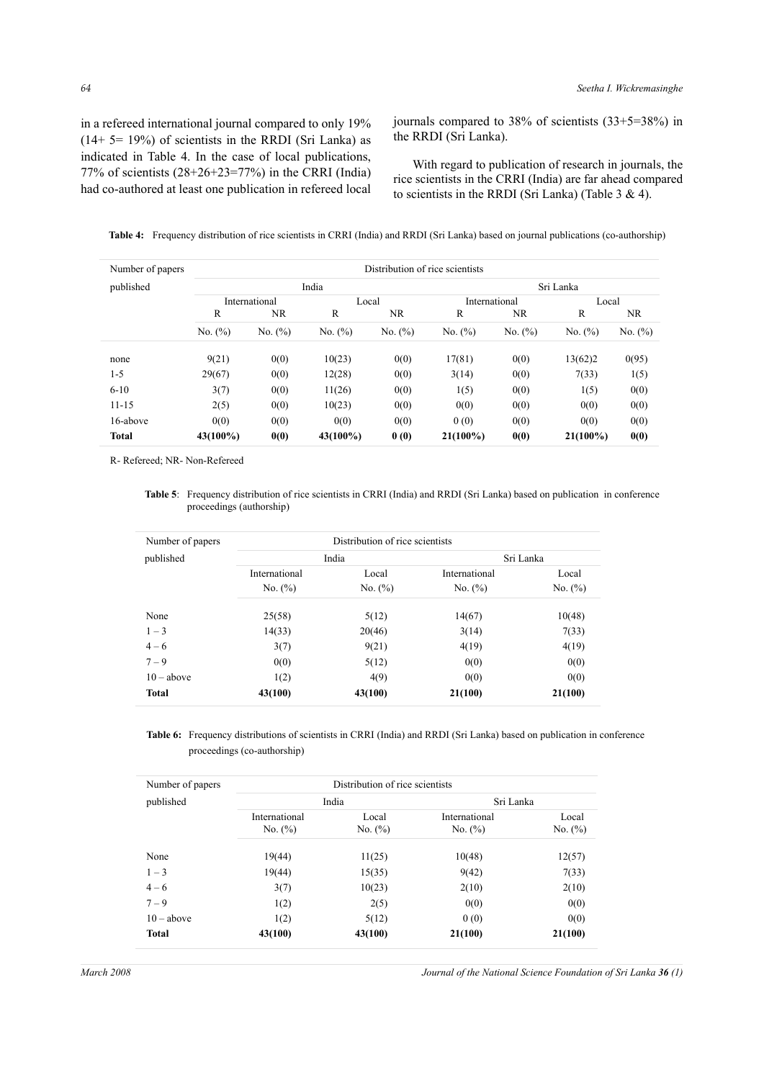in a refereed international journal compared to only 19%  $(14+5=19%)$  of scientists in the RRDI (Sri Lanka) as indicated in Table 4. In the case of local publications, 77% of scientists (28+26+23=77%) in the CRRI (India) had co-authored at least one publication in refereed local journals compared to 38% of scientists (33+5=38%) in the RRDI (Sri Lanka).

 With regard to publication of research in journals, the rice scientists in the CRRI (India) are far ahead compared to scientists in the RRDI (Sri Lanka) (Table 3 & 4).

|  | Table 4: Frequency distribution of rice scientists in CRRI (India) and RRDI (Sri Lanka) based on journal publications (co-authorship) |  |  |  |  |
|--|---------------------------------------------------------------------------------------------------------------------------------------|--|--|--|--|
|--|---------------------------------------------------------------------------------------------------------------------------------------|--|--|--|--|

| Number of papers | Distribution of rice scientists |               |             |             |               |            |             |            |  |
|------------------|---------------------------------|---------------|-------------|-------------|---------------|------------|-------------|------------|--|
| published        |                                 |               | India       |             |               |            | Sri Lanka   |            |  |
|                  |                                 | International | Local       |             | International |            | Local       |            |  |
|                  | R                               | NR.           | R           | NR.         | R             | NR         | R           | NR.        |  |
|                  | No. $(\%)$                      | No. $(\% )$   | No. (%)     | No. $(\% )$ | No. (%)       | No. $(\%)$ | No. (%)     | No. $(\%)$ |  |
| none             | 9(21)                           | 0(0)          | 10(23)      | 0(0)        | 17(81)        | 0(0)       | 13(62)2     | 0(95)      |  |
| $1 - 5$          | 29(67)                          | 0(0)          | 12(28)      | 0(0)        | 3(14)         | 0(0)       | 7(33)       | 1(5)       |  |
| $6 - 10$         | 3(7)                            | 0(0)          | 11(26)      | 0(0)        | 1(5)          | 0(0)       | 1(5)        | 0(0)       |  |
| $11 - 15$        | 2(5)                            | 0(0)          | 10(23)      | 0(0)        | 0(0)          | 0(0)       | 0(0)        | 0(0)       |  |
| 16-above         | 0(0)                            | 0(0)          | 0(0)        | 0(0)        | 0(0)          | 0(0)       | 0(0)        | 0(0)       |  |
| <b>Total</b>     | $43(100\%)$                     | 0(0)          | $43(100\%)$ | 0(0)        | $21(100\%)$   | 0(0)       | $21(100\%)$ | 0(0)       |  |

R- Refereed; NR- Non-Refereed

Table 5: Frequency distribution of rice scientists in CRRI (India) and RRDI (Sri Lanka) based on publication in conference proceedings (authorship)

| Number of papers |               | Distribution of rice scientists |               |           |
|------------------|---------------|---------------------------------|---------------|-----------|
| published        |               | India                           |               | Sri Lanka |
|                  | International | Local                           | International | Local     |
|                  | No. $(\%)$    | No. $(\% )$                     | No. $(\%)$    | No. (%)   |
| None             | 25(58)        | 5(12)                           | 14(67)        | 10(48)    |
| $1 - 3$          | 14(33)        | 20(46)                          | 3(14)         | 7(33)     |
| $4 - 6$          | 3(7)          | 9(21)                           | 4(19)         | 4(19)     |
| $7 - 9$          | 0(0)          | 5(12)                           | 0(0)          | 0(0)      |
| $10 - above$     | 1(2)          | 4(9)                            | 0(0)          | 0(0)      |
| <b>Total</b>     | 43(100)       | 43(100)                         | 21(100)       | 21(100)   |

**Table 6:** Frequency distributions of scientists in CRRI (India) and RRDI (Sri Lanka) based on publication in conference proceedings (co-authorship)

| Number of papers |                              | Distribution of rice scientists |                             |                     |
|------------------|------------------------------|---------------------------------|-----------------------------|---------------------|
| published        |                              | India                           | Sri Lanka                   |                     |
|                  | International<br>No. $(\% )$ | Local<br>No. $(\%)$             | International<br>No. $(\%)$ | Local<br>No. $(\%)$ |
| None             | 19(44)                       | 11(25)                          | 10(48)                      | 12(57)              |
| $1 - 3$          | 19(44)                       | 15(35)                          | 9(42)                       | 7(33)               |
| $4 - 6$          | 3(7)                         | 10(23)                          | 2(10)                       | 2(10)               |
| $7 - 9$          | 1(2)                         | 2(5)                            | 0(0)                        | 0(0)                |
| $10 - above$     | 1(2)                         | 5(12)                           | 0(0)                        | 0(0)                |
| <b>Total</b>     | 43(100)                      | 43(100)                         | 21(100)                     | 21(100)             |

*March 2008 Journal of the National Science Foundation of Sri Lanka 36 (1)*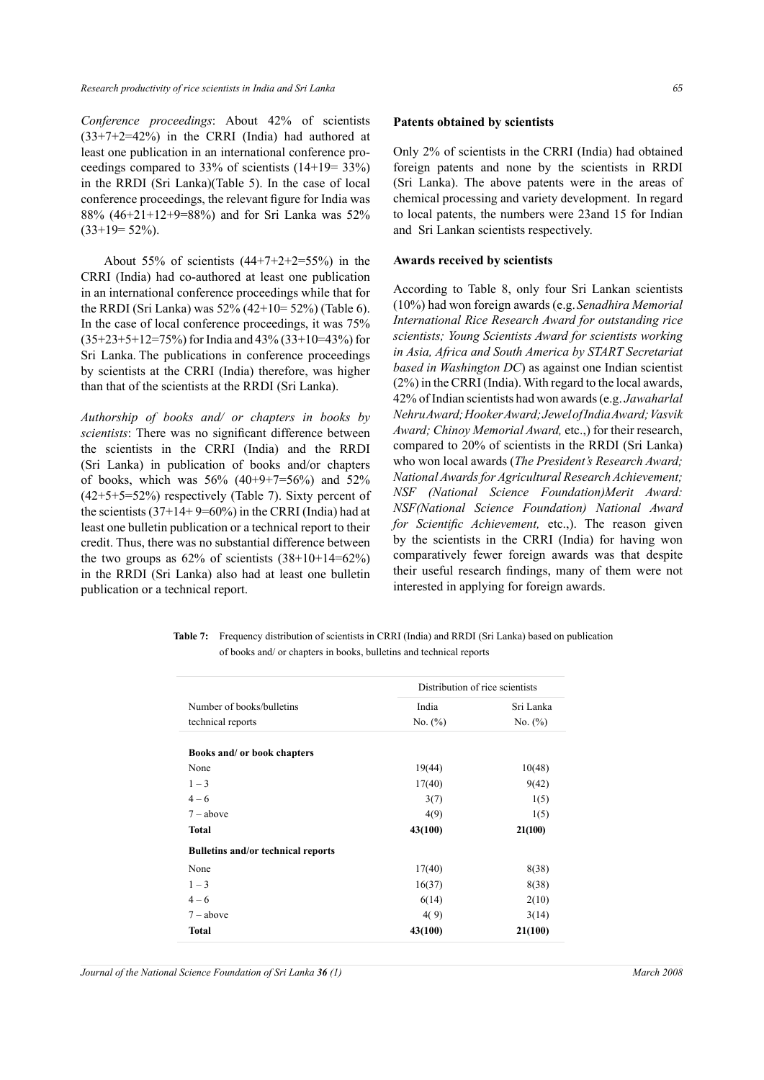*Conference proceedings*: About 42% of scientists  $(33+7+2=42%)$  in the CRRI (India) had authored at least one publication in an international conference proceedings compared to 33% of scientists (14+19= 33%) in the RRDI (Sri Lanka)(Table 5). In the case of local conference proceedings, the relevant figure for India was 88% (46+21+12+9=88%) and for Sri Lanka was 52%  $(33+19=52\%)$ .

About 55% of scientists  $(44+7+2+2=55%)$  in the CRRI (India) had co-authored at least one publication in an international conference proceedings while that for the RRDI (Sri Lanka) was 52% (42+10= 52%) (Table 6). In the case of local conference proceedings, it was 75% (35+23+5+12=75%) for India and 43% (33+10=43%) for Sri Lanka. The publications in conference proceedings by scientists at the CRRI (India) therefore, was higher than that of the scientists at the RRDI (Sri Lanka).

*Authorship of books and/ or chapters in books by scientists*: There was no significant difference between the scientists in the CRRI (India) and the RRDI (Sri Lanka) in publication of books and/or chapters of books, which was  $56\%$  (40+9+7=56%) and  $52\%$ (42+5+5=52%) respectively (Table 7). Sixty percent of the scientists  $(37+14+9=60\%)$  in the CRRI (India) had at least one bulletin publication or a technical report to their credit. Thus, there was no substantial difference between the two groups as  $62\%$  of scientists  $(38+10+14=62\%)$ in the RRDI (Sri Lanka) also had at least one bulletin publication or a technical report.

Only 2% of scientists in the CRRI (India) had obtained foreign patents and none by the scientists in RRDI (Sri Lanka). The above patents were in the areas of chemical processing and variety development. In regard to local patents, the numbers were 23and 15 for Indian and Sri Lankan scientists respectively.

#### **Awards received by scientists**

According to Table 8, only four Sri Lankan scientists (10%) had won foreign awards (e.g. *Senadhira Memorial International Rice Research Award for outstanding rice scientists; Young Scientists Award for scientists working in Asia, Africa and South America by START Secretariat based in Washington DC*) as against one Indian scientist (2%) in the CRRI (India). With regard to the local awards, 42% of Indian scientists had won awards (e.g. *Jawaharlal Nehru Award; Hooker Award; Jewel of India Award; Vasvik Award; Chinoy Memorial Award,* etc.,) for their research, compared to 20% of scientists in the RRDI (Sri Lanka) who won local awards (*The President's Research Award; National Awards for Agricultural Research Achievement; NSF (National Science Foundation)Merit Award: NSF(National Science Foundation) National Award for Scientific Achievement,* etc.,). The reason given by the scientists in the CRRI (India) for having won comparatively fewer foreign awards was that despite their useful research findings, many of them were not interested in applying for foreign awards.

| <b>Table 7:</b> Frequency distribution of scientists in CRRI (India) and RRDI (Sri Lanka) based on publication |
|----------------------------------------------------------------------------------------------------------------|
| of books and/ or chapters in books, bulletins and technical reports                                            |

| Number of books/bulletins                 | India      | Sri Lanka                       |
|-------------------------------------------|------------|---------------------------------|
| technical reports                         | No. $(\%)$ | No. $(\%)$                      |
| Books and/ or book chapters               |            |                                 |
| None                                      | 19(44)     | 10(48)                          |
| $1 - 3$                                   | 17(40)     | 9(42)                           |
| $4 - 6$                                   | 3(7)       | 1(5)                            |
| $7 - above$                               | 4(9)       | 1(5)                            |
| <b>Total</b>                              | 43(100)    | 21(100)                         |
| <b>Bulletins and/or technical reports</b> |            |                                 |
| None                                      | 17(40)     | 8(38)                           |
| $1 - 3$                                   | 16(37)     | 8(38)                           |
| $4 - 6$                                   | 6(14)      | 2(10)                           |
| $7 - above$                               | 4(9)       | 3(14)                           |
| <b>Total</b>                              | 43(100)    | 21(100)                         |
|                                           |            | Distribution of rice scientists |

*Journal of the National Science Foundation of Sri Lanka 36 (1) March 2008*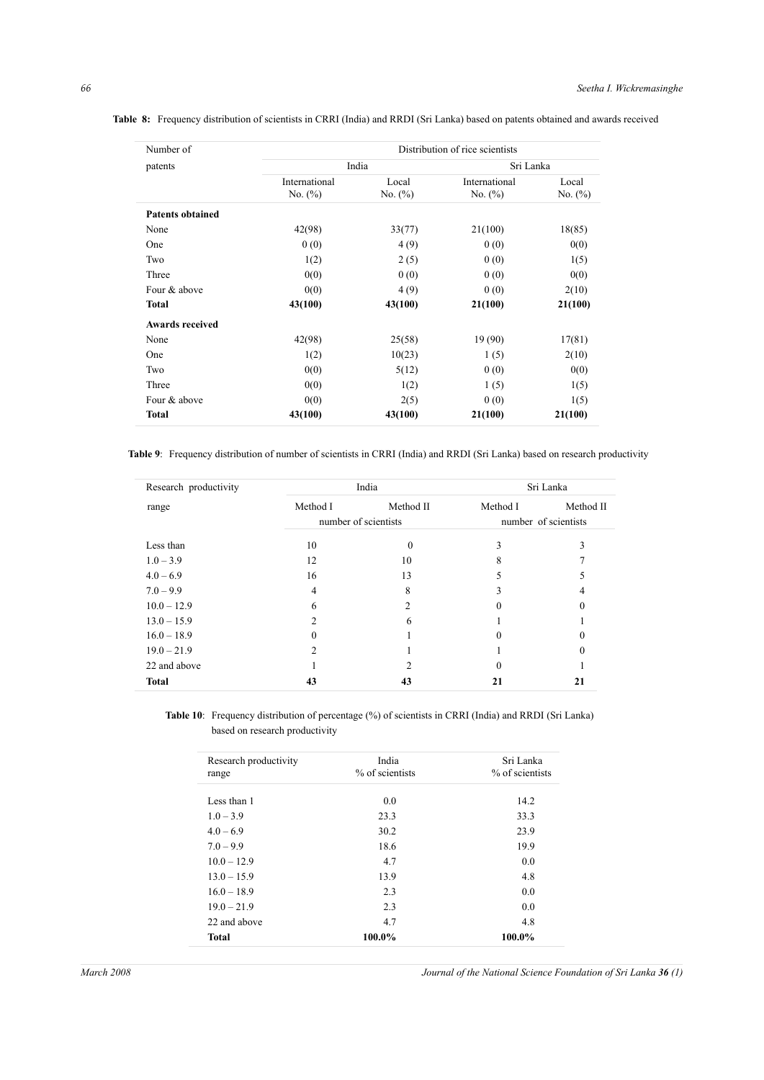| Number of               | Distribution of rice scientists |            |               |            |  |  |  |
|-------------------------|---------------------------------|------------|---------------|------------|--|--|--|
| patents                 |                                 | India      | Sri Lanka     |            |  |  |  |
|                         | International                   | Local      | International | Local      |  |  |  |
|                         | No. $(\% )$                     | No. $(\%)$ | No. $(\%)$    | No. $(\%)$ |  |  |  |
| <b>Patents obtained</b> |                                 |            |               |            |  |  |  |
| None                    | 42(98)                          | 33(77)     | 21(100)       | 18(85)     |  |  |  |
| One                     | 0(0)                            | 4(9)       | 0(0)          | 0(0)       |  |  |  |
| Two                     | 1(2)                            | 2(5)       | 0(0)          | 1(5)       |  |  |  |
| Three                   | 0(0)                            | 0(0)       | 0(0)          | 0(0)       |  |  |  |
| Four & above            | 0(0)                            | 4(9)       | 0(0)          | 2(10)      |  |  |  |
| <b>Total</b>            | 43(100)                         | 43(100)    | 21(100)       | 21(100)    |  |  |  |
| <b>Awards received</b>  |                                 |            |               |            |  |  |  |
| None                    | 42(98)                          | 25(58)     | 19(90)        | 17(81)     |  |  |  |
| One                     | 1(2)                            | 10(23)     | 1(5)          | 2(10)      |  |  |  |
| Two                     | 0(0)                            | 5(12)      | 0(0)          | 0(0)       |  |  |  |
| Three                   | 0(0)                            | 1(2)       | 1(5)          | 1(5)       |  |  |  |
| Four & above            | 0(0)                            | 2(5)       | 0(0)          | 1(5)       |  |  |  |
| <b>Total</b>            | 43(100)                         | 43(100)    | 21(100)       | 21(100)    |  |  |  |

**Table 8:** Frequency distribution of scientists in CRRI (India) and RRDI (Sri Lanka) based on patents obtained and awards received

**Table 9**: Frequency distribution of number of scientists in CRRI (India) and RRDI (Sri Lanka) based on research productivity

| Research productivity |          | India                |          | Sri Lanka            |
|-----------------------|----------|----------------------|----------|----------------------|
| range                 | Method I | Method II            | Method I | Method II            |
|                       |          | number of scientists |          | number of scientists |
| Less than             | 10       | 0                    |          |                      |
| $1.0 - 3.9$           | 12       | 10                   |          |                      |
| $4.0 - 6.9$           | 16       | 13                   |          |                      |
| $7.0 - 9.9$           | 4        | 8                    |          |                      |
| $10.0 - 12.9$         | 6        | $\mathfrak{D}$       |          |                      |
| $13.0 - 15.9$         |          | 6                    |          |                      |
| $16.0 - 18.9$         |          |                      |          |                      |
| $19.0 - 21.9$         |          |                      |          |                      |
| 22 and above          |          |                      |          |                      |
| <b>Total</b>          | 43       | 43                   | 21       | 21                   |

**Table 10**: Frequency distribution of percentage (%) of scientists in CRRI (India) and RRDI (Sri Lanka) based on research productivity

| Research productivity<br>range | India<br>% of scientists | Sri Lanka<br>% of scientists |
|--------------------------------|--------------------------|------------------------------|
| Less than 1                    | 0.0                      | 14.2                         |
| $1.0 - 3.9$                    | 23.3                     | 33.3                         |
| $4.0 - 6.9$                    | 30.2                     | 23.9                         |
| $7.0 - 9.9$                    | 18.6                     | 19.9                         |
| $10.0 - 12.9$                  | 4.7                      | 0.0                          |
| $13.0 - 15.9$                  | 13.9                     | 4.8                          |
| $16.0 - 18.9$                  | 2.3                      | 0.0                          |
| $19.0 - 21.9$                  | 2.3                      | 0.0                          |
| 22 and above                   | 4.7                      | 4.8                          |
| <b>Total</b>                   | 100.0%                   | 100.0%                       |

*March 2008 Journal of the National Science Foundation of Sri Lanka 36 (1)*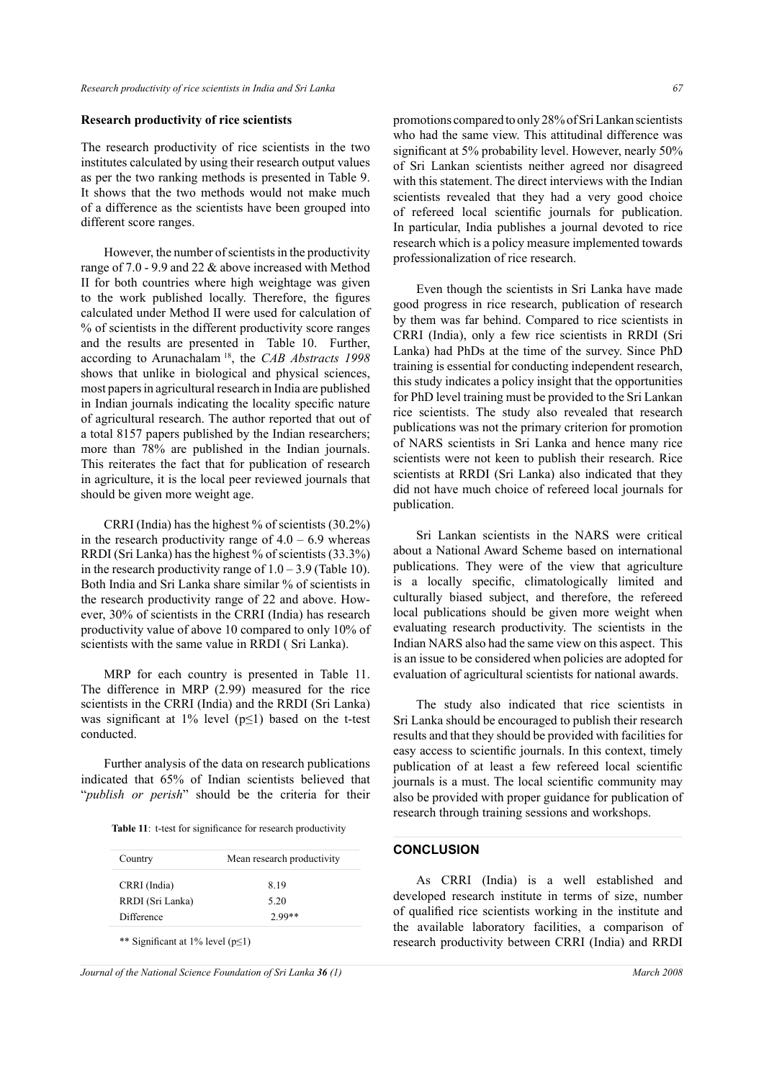#### **Research productivity of rice scientists**

The research productivity of rice scientists in the two institutes calculated by using their research output values as per the two ranking methods is presented in Table 9. It shows that the two methods would not make much of a difference as the scientists have been grouped into different score ranges.

However, the number of scientists in the productivity range of 7.0 - 9.9 and 22 & above increased with Method II for both countries where high weightage was given to the work published locally. Therefore, the figures calculated under Method II were used for calculation of % of scientists in the different productivity score ranges and the results are presented in Table 10. Further, according to Arunachalam 18, the *CAB Abstracts 1998* shows that unlike in biological and physical sciences, most papers in agricultural research in India are published in Indian journals indicating the locality specific nature of agricultural research. The author reported that out of a total 8157 papers published by the Indian researchers; more than 78% are published in the Indian journals. This reiterates the fact that for publication of research in agriculture, it is the local peer reviewed journals that should be given more weight age.

CRRI (India) has the highest % of scientists (30.2%) in the research productivity range of  $4.0 - 6.9$  whereas RRDI (Sri Lanka) has the highest % of scientists (33.3%) in the research productivity range of  $1.0 - 3.9$  (Table 10). Both India and Sri Lanka share similar % of scientists in the research productivity range of 22 and above. However, 30% of scientists in the CRRI (India) has research productivity value of above 10 compared to only 10% of scientists with the same value in RRDI ( Sri Lanka).

MRP for each country is presented in Table 11. The difference in MRP (2.99) measured for the rice scientists in the CRRI (India) and the RRDI (Sri Lanka) was significant at 1% level ( $p \le 1$ ) based on the t-test conducted.

Further analysis of the data on research publications indicated that 65% of Indian scientists believed that "*publish or perish*" should be the criteria for their

|  |  |  |  | <b>Table 11:</b> t-test for significance for research productivity |
|--|--|--|--|--------------------------------------------------------------------|
|--|--|--|--|--------------------------------------------------------------------|

| Country          | Mean research productivity |  |
|------------------|----------------------------|--|
| CRRI (India)     | 8.19                       |  |
| RRDI (Sri Lanka) | 5.20                       |  |
| Difference       | $2.99**$                   |  |

*Journal of the National Science Foundation of Sri Lanka 36 (1) March 2008*

promotions compared to only 28% of Sri Lankan scientists who had the same view. This attitudinal difference was significant at 5% probability level. However, nearly 50% of Sri Lankan scientists neither agreed nor disagreed with this statement. The direct interviews with the Indian scientists revealed that they had a very good choice of refereed local scientific journals for publication. In particular, India publishes a journal devoted to rice research which is a policy measure implemented towards professionalization of rice research.

Even though the scientists in Sri Lanka have made good progress in rice research, publication of research by them was far behind. Compared to rice scientists in CRRI (India), only a few rice scientists in RRDI (Sri Lanka) had PhDs at the time of the survey. Since PhD training is essential for conducting independent research, this study indicates a policy insight that the opportunities for PhD level training must be provided to the Sri Lankan rice scientists. The study also revealed that research publications was not the primary criterion for promotion of NARS scientists in Sri Lanka and hence many rice scientists were not keen to publish their research. Rice scientists at RRDI (Sri Lanka) also indicated that they did not have much choice of refereed local journals for publication.

Sri Lankan scientists in the NARS were critical about a National Award Scheme based on international publications. They were of the view that agriculture is a locally specific, climatologically limited and culturally biased subject, and therefore, the refereed local publications should be given more weight when evaluating research productivity. The scientists in the Indian NARS also had the same view on this aspect. This is an issue to be considered when policies are adopted for evaluation of agricultural scientists for national awards.

The study also indicated that rice scientists in Sri Lanka should be encouraged to publish their research results and that they should be provided with facilities for easy access to scientific journals. In this context, timely publication of at least a few refereed local scientific journals is a must. The local scientific community may also be provided with proper guidance for publication of research through training sessions and workshops.

#### **CONCLUSION**

As CRRI (India) is a well established and developed research institute in terms of size, number of qualified rice scientists working in the institute and the available laboratory facilities, a comparison of research productivity between CRRI (India) and RRDI